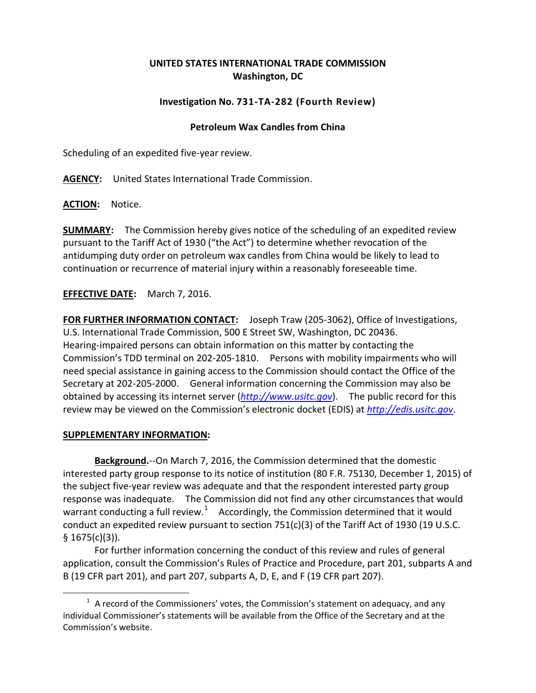## **UNITED STATES INTERNATIONAL TRADE COMMISSION Washington, DC**

## **Investigation No. 731-TA-282 (Fourth Review)**

## **Petroleum Wax Candles from China**

Scheduling of an expedited five-year review.

**AGENCY:** United States International Trade Commission.

**ACTION:** Notice.

**SUMMARY:** The Commission hereby gives notice of the scheduling of an expedited review pursuant to the Tariff Act of 1930 ("the Act") to determine whether revocation of the antidumping duty order on petroleum wax candles from China would be likely to lead to continuation or recurrence of material injury within a reasonably foreseeable time.

**EFFECTIVE DATE:** March 7, 2016.

**FOR FURTHER INFORMATION CONTACT:** Joseph Traw (205-3062), Office of Investigations, U.S. International Trade Commission, 500 E Street SW, Washington, DC 20436. Hearing-impaired persons can obtain information on this matter by contacting the Commission's TDD terminal on 202-205-1810. Persons with mobility impairments who will need special assistance in gaining access to the Commission should contact the Office of the Secretary at 202-205-2000. General information concerning the Commission may also be obtained by accessing its internet server (*[http://www.usitc.gov](http://www.usitc.gov/)*). The public record for this review may be viewed on the Commission's electronic docket (EDIS) at *[http://edis.usitc.gov](http://edis.usitc.gov/)*.

## **SUPPLEMENTARY INFORMATION:**

 $\overline{a}$ 

**Background.**--On March 7, 2016, the Commission determined that the domestic interested party group response to its notice of institution (80 F.R. 75130, December 1, 2015) of the subject five-year review was adequate and that the respondent interested party group response was inadequate. The Commission did not find any other circumstances that would warrant conducting a full review.<sup>[1](#page-0-0)</sup> Accordingly, the Commission determined that it would conduct an expedited review pursuant to section  $751(c)(3)$  of the Tariff Act of 1930 (19 U.S.C.  $§ 1675(c)(3)$ ).

For further information concerning the conduct of this review and rules of general application, consult the Commission's Rules of Practice and Procedure, part 201, subparts A and B (19 CFR part 201), and part 207, subparts A, D, E, and F (19 CFR part 207).

<span id="page-0-0"></span> $1$  A record of the Commissioners' votes, the Commission's statement on adequacy, and any individual Commissioner's statements will be available from the Office of the Secretary and at the Commission's website.